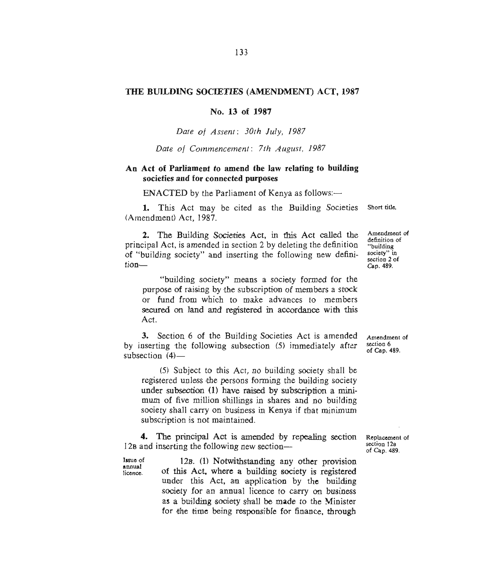## **THE BUILDING SOCIETIES (AMENDMENT) ACT, 1987**

**No. 13 of 1987** 

*Date of Assent: 30th July, 1987* 

*Date of Commencement: 7th August, 1987* 

## **An Act of Parliament to amend the law relating to building societies and for connected purposes**

 $ENACTED$  by the Parliament of Kenya as follows: $-$ 

1. This Act may be cited as the Building Societies (Amendment) Act, 1987.

**2. The** Building Societies Act, in this Act called the principal Act, is amended in section 2 by deleting the definition of "building society" and inserting the following new definition—

"building society" means a society formed for the purpose of raising by the subscription of members a stock or fund from which to make advances to members secured on land and registered in accordance with this Act.

3. Section 6 of the Building Societies Act is amended by inserting the following subsection (5) immediately after subsection  $(4)$ —

**(5)** Subject to this Act, no building society shall be registered unless the persons forming the building society under subsection **(1)** have raised by subscription a minimum of five million shillings in shares and no building society shall carry on business in Kenya if that minimum subscription is not maintained.

4. The principal Act is amended by repealing section 12<sub>B</sub> and inserting the following new section-

Issue of annual licence.

12B. **(1)** Notwithstanding any other provision of this Act. where a building society is registered under this Act, an application by the building society for an annual licence to carry on business as a building society shall be made to the Minister for the time being responsible for finance, through

Short title.

Amendment of definition of "building society" in section 2 of Cap. 489.

Amendment of section 6 of Cap. 489.

Replacement of section 12s of Cap. 489.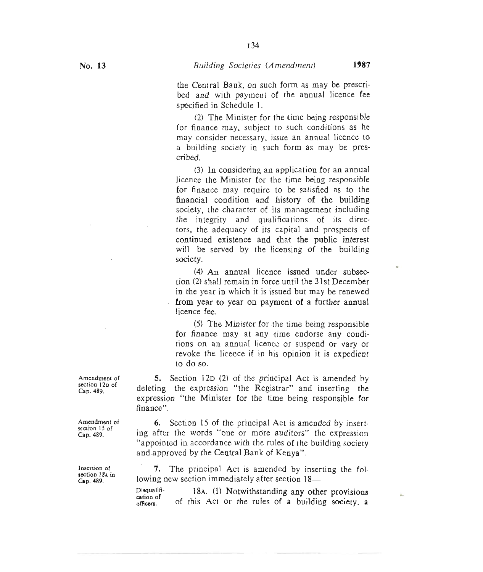34

'n

**the** Central Bank, on such form as may be prescribed and with payment of the annual licence fee specified in Schedule 1.

(2) The Minister for the time being responsible for finance may, subject to such conditions as he may consider necessary, issue an annual licence to a building society in such form as may be prescribed.

(3) In considering an application for an annual licence the Minister for the time being responsible for finance may require to be satisfied as to the **financial condition and history of the building**  society, the character of its management including the integrity and qualifications of its directors, the adequacy of its capital and prospects **of continued existence and that the public interest will be served by the licensing of the building society.** 

**(4) An annual licence issued under subsection (2) shall remain in force until the 31st December in the year in which it is issued but may be renewed from year to year on payment of a further annual licence fee.** 

**(5) The Minister for the time being responsible for finance may at any time endorse any conditions on an annual licence or suspend or vary or revoke the licence if in his opinion it is expedient to do so.** 

**5. Section** 12D **(2) of the principal Act is amended by deleting the expression "the Registrar" and inserting the expression "the Minister for the time being responsible for finance".** 

6. Section 15 of the principal Act is amended by inserting after the words "one or more auditors" the expression "appointed in accordance with the rules of the building society and approved by the Central Bank of Kenya".

**7. The principal Act is** amended by inserting the following new section immediately after section 18—

**Disqualification of officers. 18s. (1) Notwithstanding any other provisions of** this Act or the rules of a building society, a

**Amendment of section 12D of Cap. 489.** 

**Amendment of**  section **15** of **Cap. 489.** 

**Insertion of section 18A in Cap. 489.**